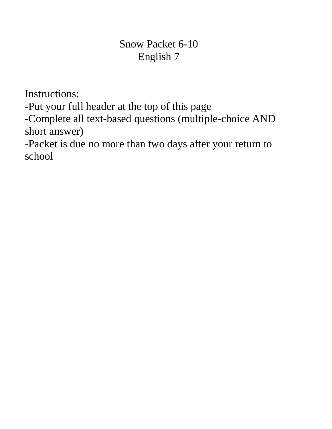# Snow Packet 6-10 English 7

Instructions:

-Put your full header at the top of this page

-Complete all text-based questions (multiple-choice AND short answer)

-Packet is due no more than two days after your return to school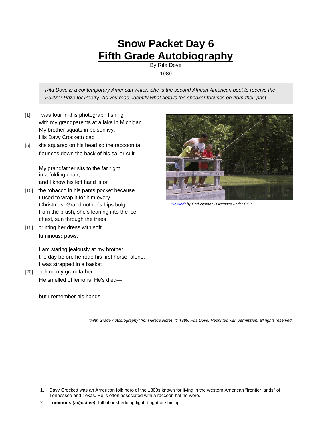# **Snow Packet Day 6 Fifth Grade Autobiography**

By Rita Dove 1989

*Rita Dove is a contemporary American writer. She is the second African American poet to receive the Pulitzer Prize for Poetry. As you read, identify what details the speaker focuses on from their past.*

- [1] I was four in this photograph fishing with my grandparents at a lake in Michigan. My brother squats in poison ivy. His Davy Crockett<sub>1</sub> cap
- [5] sits squared on his head so the raccoon tail flounces down the back of his sailor suit.

My grandfather sits to the far right in a folding chair, and I know his left hand is on

- [10] the tobacco in his pants pocket because I used to wrap it for him every Christmas. Grandmother's hips bulge from the brush, she's leaning into the ice chest, sun through the trees
- [15] printing her dress with soft luminous<sub>2</sub> paws.

I am staring jealously at my brother; the day before he rode his first horse, alone. I was strapped in a basket

[20] behind my grandfather. He smelled of lemons. He's died—

but I remember his hands.



*"Untitled" by Carl Zitsman is licensed under CC0.*

*"Fifth Grade Autobiography" from Grace Notes, © 1989, Rita Dove. Reprinted with permission, all rights reserved.*

<sup>1.</sup> Davy Crockett was an American folk hero of the 1800s known for living in the western American "frontier lands" of Tennessee and Texas. He is often associated with a raccoon hat he wore.

<sup>2.</sup> **Luminous** *(adjective):* full of or shedding light; bright or shining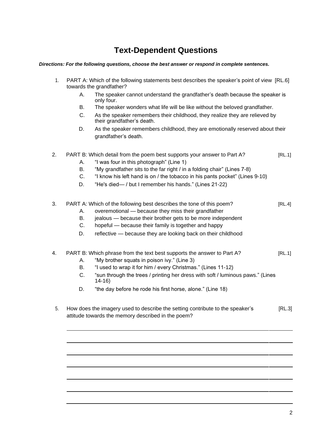#### *Directions: For the following questions, choose the best answer or respond in complete sentences.*

- 1. PART A: Which of the following statements best describes the speaker's point of view [RL.6] towards the grandfather?
	- A. The speaker cannot understand the grandfather's death because the speaker is only four.
	- B. The speaker wonders what life will be like without the beloved grandfather.
	- C. As the speaker remembers their childhood, they realize they are relieved by their grandfather's death.
	- D. As the speaker remembers childhood, they are emotionally reserved about their grandfather's death.

### 2. PART B: Which detail from the poem best supports your answer to Part A? [RL.1]

- A. "I was four in this photograph" (Line 1)
- B. "My grandfather sits to the far right / in a folding chair" (Lines 7-8)
- C. "I know his left hand is on / the tobacco in his pants pocket" (Lines 9-10)
- D. "He's died— / but I remember his hands." (Lines 21-22)

### 3. PART A: Which of the following best describes the tone of this poem? [RL.4]

- A. overemotional because they miss their grandfather
- B. jealous because their brother gets to be more independent
- C. hopeful because their family is together and happy
- D. reflective because they are looking back on their childhood

### 4. PART B: Which phrase from the text best supports the answer to Part A? [RL.1]

- A. "My brother squats in poison ivy." (Line 3)
- B. "I used to wrap it for him / every Christmas." (Lines 11-12)
- C. "sun through the trees / printing her dress with soft / luminous paws." (Lines 14-16)
- D. "the day before he rode his first horse, alone." (Line 18)
- 5. How does the imagery used to describe the setting contribute to the speaker's [RL.3] attitude towards the memory described in the poem?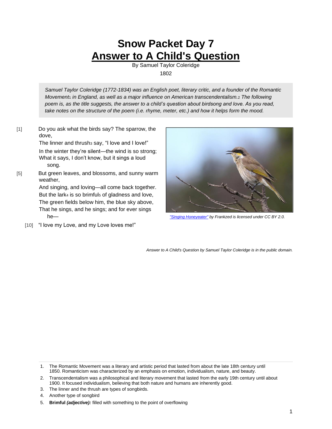# **Snow Packet Day 7 Answer to A Child's Question**

By Samuel Taylor Coleridge 1802

*Samuel Taylor Coleridge (1772-1834) was an English poet, literary critic, and a founder of the Romantic Movement<sub>1</sub> in England, as well as a major influence on American transcendentalism.*<sub>2</sub> *The following poem is, as the title suggests, the answer to a child's question about birdsong and love. As you read, take notes on the structure of the poem (i.e. rhyme, meter, etc.) and how it helps form the mood.*

[1] Do you ask what the birds say? The sparrow, the dove,

> The linner and thrush<sub>3</sub> say, "I love and I love!" In the winter they're silent—the wind is so strong; What it says, I don't know, but it sings a loud song.

[5] But green leaves, and blossoms, and sunny warm weather,

> And singing, and loving—all come back together. But the lark4 is so brimfuls of gladness and love, The green fields below him, the blue sky above, That he sings, and he sings; and for ever sings

[10] "I love my Love, and my Love loves me!"



he— *"Singing Honeyeater" by Frankzed is licensed under CC BY 2.0.*

*Answer to A Child's Question by Samuel Taylor Coleridge is in the public domain.*

1. The Romantic Movement was a literary and artistic period that lasted from about the late 18th century until 1850. Romanticism was characterized by an emphasis on emotion, individualism, nature, and beauty.

<sup>2.</sup> Transcendentalism was a philosophical and literary movement that lasted from the early 19th century until about 1900. It focused individualism, believing that both nature and humans are inherently good.

<sup>3.</sup> The linner and the thrush are types of songbirds.

<sup>4.</sup> Another type of songbird

<sup>5.</sup> **Brimful** *(adjective):* filled with something to the point of overflowing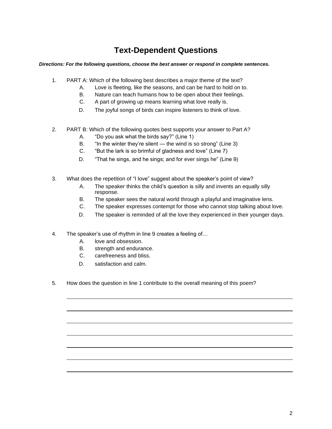### *Directions: For the following questions, choose the best answer or respond in complete sentences.*

- 1. PART A: Which of the following best describes a major theme of the text?
	- A. Love is fleeting, like the seasons, and can be hard to hold on to.
	- B. Nature can teach humans how to be open about their feelings.
	- C. A part of growing up means learning what love really is.
	- D. The joyful songs of birds can inspire listeners to think of love.
- 2. PART B: Which of the following quotes best supports your answer to Part A?
	- A. "Do you ask what the birds say?" (Line 1)
	- B. "In the winter they're silent the wind is so strong" (Line 3)
	- C. "But the lark is so brimful of gladness and love" (Line 7)
	- D. "That he sings, and he sings; and for ever sings he" (Line 9)
- 3. What does the repetition of "I love" suggest about the speaker's point of view?
	- A. The speaker thinks the child's question is silly and invents an equally silly response.
	- B. The speaker sees the natural world through a playful and imaginative lens.
	- C. The speaker expresses contempt for those who cannot stop talking about love.
	- D. The speaker is reminded of all the love they experienced in their younger days.
- 4. The speaker's use of rhythm in line 9 creates a feeling of…
	- A. love and obsession.
	- B. strength and endurance.
	- C. carefreeness and bliss.
	- D. satisfaction and calm.
- 5. How does the question in line 1 contribute to the overall meaning of this poem?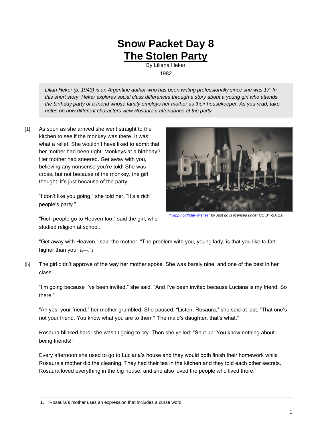## **Snow Packet Day 8 The Stolen Party**

**By Liliana Heke** 1982

*Lilian Heker (b. 1943) is an Argentine author who has been writing professionally since she was 17. In this short story, Heker explores social class differences through a story about a young girl who attends the birthday party of a friend whose family employs her mother as their housekeeper. As you read, take notes on how different characters view Rosaura's attendance at the party.*

[1] As soon as she arrived she went straight to the kitchen to see if the monkey was there. It was: what a relief. She wouldn't have liked to admit that her mother had been right. Monkeys at a birthday? Her mother had sneered. Get away with you, believing any nonsense you're told! She was cross, but not because of the monkey, the girl thought; it's just because of the party.

> "I don't like you going," she told her. "It's a rich people's party."

"Rich people go to Heaven too," said the girl, who studied religion at school.



*"Happy birthday wishes" by Just go is licensed under CC BY-SA 2.0*

"Get away with Heaven," said the mother. "The problem with you, young lady, is that you like to fart higher than your a—."<sup>1</sup>

[5] The girl didn't approve of the way her mother spoke. She was barely nine, and one of the best in her class.

"I'm going because I've been invited," she said. "And I've been invited because Luciana is my friend. So there."

"Ah yes, your friend," her mother grumbled. She paused. "Listen, Rosaura," she said at last. "That one's not your friend. You know what you are to them? The maid's daughter, that's what."

Rosaura blinked hard: she wasn't going to cry. Then she yelled: "Shut up! You know nothing about being friends!"

Every afternoon she used to go to Luciana's house and they would both finish their homework while Rosaura's mother did the cleaning. They had their tea in the kitchen and they told each other secrets. Rosaura loved everything in the big house, and she also loved the people who lived there.

1. Rosaura's mother uses an expression that includes a curse word.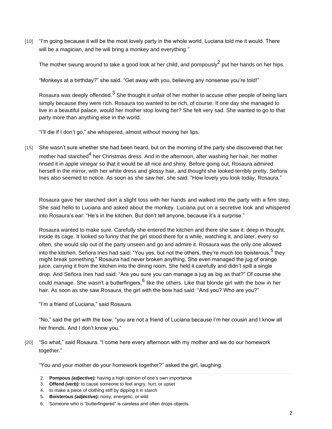[10] "I'm going because it will be the most lovely party in the whole world, Luciana told me it would. There will be a magician, and he will bring a monkey and everything."

The mother swung around to take a good look at her child, and pompously $^2$  put her hands on her hips.

"Monkeys at a birthday?" she said. "Get away with you, believing any nonsense you're told!"

Rosaura was deeply offended.<sup>3</sup> She thought it unfair of her mother to accuse other people of being liars simply because they were rich. Rosaura too wanted to be rich, of course. If one day she managed to live in a beautiful palace, would her mother stop loving her? She felt very sad. She wanted to go to that party more than anything else in the world.

"I'll die if I don't go," she whispered, almost without moving her lips.

[15] She wasn't sure whether she had been heard, but on the morning of the party she discovered that her mother had starched $^{\mathsf{4}}$  her Christmas dress. And in the afternoon, after washing her hair, her mother rinsed it in apple vinegar so that it would be all nice and shiny. Before going out, Rosaura admired herself in the mirror, with her white dress and glossy hair, and thought she looked terribly pretty. Señora Ines also seemed to notice. As soon as she saw her, she said: "How lovely you look today, Rosaura."

Rosaura gave her starched skirt a slight toss with her hands and walked into the party with a firm step. She said hello to Luciana and asked about the monkey. Luciana put on a secretive look and whispered into Rosaura's ear: "He's in the kitchen. But don't tell anyone, because it's a surprise."

Rosaura wanted to make sure. Carefully she entered the kitchen and there she saw it: deep in thought, inside its cage. It looked so funny that the girl stood there for a while, watching it, and later, every so often, she would slip out of the party unseen and go and admire it. Rosaura was the only one allowed into the kitchen. Señora Ines had said: "You yes, but not the others, they're much too boisterous,<sup>5</sup> they might break something." Rosaura had never broken anything. She even managed the jug of orange juice, carrying it from the kitchen into the dining room. She held it carefully and didn't spill a single drop. And Señora Ines had said: "Are you sure you can manage a jug as big as that?" Of course she could manage. She wasn't a butterfingers,<sup>6</sup> like the others. Like that blonde girl with the bow in her hair. As soon as she saw Rosaura, the girl with the bow had said: "And you? Who are you?"

"I'm a friend of Luciana," said Rosaura.

"No," said the girl with the bow, "you are not a friend of Luciana because I'm her cousin and I know all her friends. And I don't know you."

[20] "So what," said Rosaura. "I come here every afternoon with my mother and we do our homework together."

"You and your mother do your homework together?" asked the girl, laughing.

- 2. **Pompous** *(adjective):* having a high opinion of one's own importance
- 3. **Offend** *(verb):* to cause someone to feel angry, hurt, or upset
- 4. to make a piece of clothing stiff by dipping it in starch
- 5. **Boisterous** *(adjective):* noisy, energetic, or wild
- 6. Someone who is "butterfingered" is careless and often drops objects.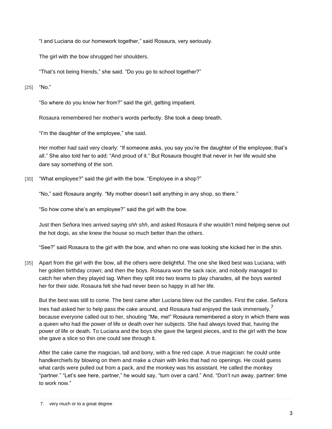"I and Luciana do our homework together," said Rosaura, very seriously.

The girl with the bow shrugged her shoulders.

"That's not being friends," she said. "Do you go to school together?"

[25] "No."

"So where do you know her from?" said the girl, getting impatient.

Rosaura remembered her mother's words perfectly. She took a deep breath.

"I'm the daughter of the employee," she said.

Her mother had said very clearly: "If someone asks, you say you're the daughter of the employee; that's all." She also told her to add: "And proud of it." But Rosaura thought that never in her life would she dare say something of the sort.

[30] "What employee?" said the girl with the bow. "Employee in a shop?"

"No," said Rosaura angrily. "My mother doesn't sell anything in any shop, so there."

"So how come she's an employee?" said the girl with the bow.

Just then Señora Ines arrived saying *shh shh*, and asked Rosaura if she wouldn't mind helping serve out the hot dogs, as she knew the house so much better than the others.

"See?" said Rosaura to the girl with the bow, and when no one was looking she kicked her in the shin.

[35] Apart from the girl with the bow, all the others were delightful. The one she liked best was Luciana, with her golden birthday crown; and then the boys. Rosaura won the sack race, and nobody managed to catch her when they played tag. When they split into two teams to play charades, all the boys wanted her for their side. Rosaura felt she had never been so happy in all her life.

But the best was still to come. The best came after Luciana blew out the candles. First the cake. Señora Ines had asked her to help pass the cake around, and Rosaura had enjoyed the task immensely,<sup>1</sup> because everyone called out to her, shouting "Me, me!" Rosaura remembered a story in which there was a queen who had the power of life or death over her subjects. She had always loved that, having the power of life or death. To Luciana and the boys she gave the largest pieces, and to the girl with the bow she gave a slice so thin one could see through it.

After the cake came the magician, tall and bony, with a fine red cape. A true magician: he could untie handkerchiefs by blowing on them and make a chain with links that had no openings. He could guess what cards were pulled out from a pack, and the monkey was his assistant. He called the monkey "partner." "Let's see here, partner," he would say, "turn over a card." And, "Don't run away, partner: time to work now."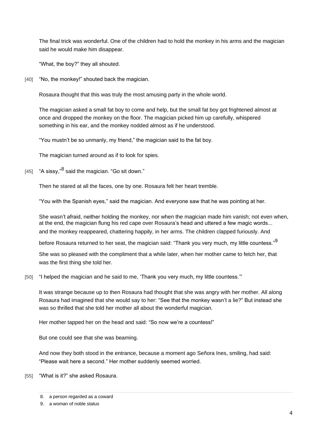The final trick was wonderful. One of the children had to hold the monkey in his arms and the magician said he would make him disappear.

"What, the boy?" they all shouted.

[40] "No, the monkey!" shouted back the magician.

Rosaura thought that this was truly the most amusing party in the whole world.

The magician asked a small fat boy to come and help, but the small fat boy got frightened almost at once and dropped the monkey on the floor. The magician picked him up carefully, whispered something in his ear, and the monkey nodded almost as if he understood.

"You mustn't be so unmanly, my friend," the magician said to the fat boy.

The magician turned around as if to look for spies.

[45] "A sissy,"<sup>8</sup> said the magician. "Go sit down."

Then he stared at all the faces, one by one. Rosaura felt her heart tremble.

"You with the Spanish eyes," said the magician. And everyone saw that he was pointing at her.

She wasn't afraid, neither holding the monkey, nor when the magician made him vanish; not even when, at the end, the magician flung his red cape over Rosaura's head and uttered a few magic words... and the monkey reappeared, chattering happily, in her arms. The children clapped furiously. And

before Rosaura returned to her seat, the magician said: "Thank you very much, my little countess."<sup>9</sup>

She was so pleased with the compliment that a while later, when her mother came to fetch her, that was the first thing she told her.

[50] "I helped the magician and he said to me, 'Thank you very much, my little countess."

It was strange because up to then Rosaura had thought that she was angry with her mother. All along Rosaura had imagined that she would say to her: "See that the monkey wasn't a lie?" But instead she was so thrilled that she told her mother all about the wonderful magician.

Her mother tapped her on the head and said: "So now we're a countess!"

But one could see that she was beaming.

And now they both stood in the entrance, because a moment ago Señora Ines, smiling, had said: "Please wait here a second." Her mother suddenly seemed worried.

- [55] "What is it?" she asked Rosaura.
	- 8. a person regarded as a coward

<sup>9.</sup> a woman of noble status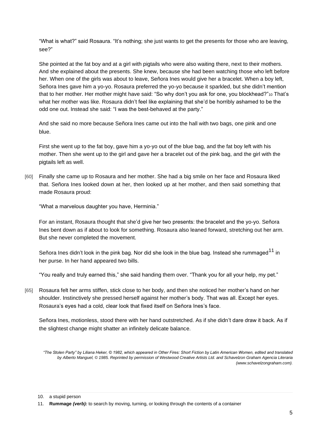"What is what?" said Rosaura. "It's nothing; she just wants to get the presents for those who are leaving, see?"

She pointed at the fat boy and at a girl with pigtails who were also waiting there, next to their mothers. And she explained about the presents. She knew, because she had been watching those who left before her. When one of the girls was about to leave, Señora Ines would give her a bracelet. When a boy left, Señora Ines gave him a yo-yo. Rosaura preferred the yo-yo because it sparkled, but she didn't mention that to her mother. Her mother might have said: "So why don't you ask for one, you blockhead?"<sup>10</sup> That's what her mother was like. Rosaura didn't feel like explaining that she'd be horribly ashamed to be the odd one out. Instead she said: "I was the best-behaved at the party."

And she said no more because Señora Ines came out into the hall with two bags, one pink and one blue.

First she went up to the fat boy, gave him a yo-yo out of the blue bag, and the fat boy left with his mother. Then she went up to the girl and gave her a bracelet out of the pink bag, and the girl with the pigtails left as well.

[60] Finally she came up to Rosaura and her mother. She had a big smile on her face and Rosaura liked that. Señora Ines looked down at her, then looked up at her mother, and then said something that made Rosaura proud:

"What a marvelous daughter you have, Herminia."

For an instant, Rosaura thought that she'd give her two presents: the bracelet and the yo-yo. Señora Ines bent down as if about to look for something. Rosaura also leaned forward, stretching out her arm. But she never completed the movement.

Señora Ines didn't look in the pink bag. Nor did she look in the blue bag. Instead she rummaged<sup>11</sup> in her purse. In her hand appeared two bills.

"You really and truly earned this," she said handing them over. "Thank you for all your help, my pet."

[65] Rosaura felt her arms stiffen, stick close to her body, and then she noticed her mother's hand on her shoulder. Instinctively she pressed herself against her mother's body. That was all. Except her eyes. Rosaura's eyes had a cold, clear look that fixed itself on Señora Ines's face.

Señora Ines, motionless, stood there with her hand outstretched. As if she didn't dare draw it back. As if the slightest change might shatter an infinitely delicate balance.

*"The Stolen Party" by Liliana Heker, © 1982, which appeared in Other Fires: Short Fiction by Latin American Women, edited and translated*  by Alberto Manguel, © 1985. Reprinted by permission of Westwood Creative Artists Ltd. and Schavelzon Graham Agencia Literaria *(www.schavelzongraham.com).*

<sup>10.</sup> a stupid person

<sup>11.</sup> **Rummage** *(verb):* to search by moving, turning, or looking through the contents of a container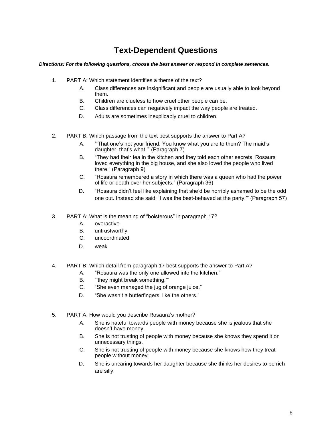#### *Directions: For the following questions, choose the best answer or respond in complete sentences.*

- 1. PART A: Which statement identifies a theme of the text?
	- A. Class differences are insignificant and people are usually able to look beyond them.
	- B. Children are clueless to how cruel other people can be.
	- C. Class differences can negatively impact the way people are treated.
	- D. Adults are sometimes inexplicably cruel to children.
- 2. PART B: Which passage from the text best supports the answer to Part A?
	- A. "'That one's not your friend. You know what you are to them? The maid's daughter, that's what.'" (Paragraph 7)
	- B. "They had their tea in the kitchen and they told each other secrets. Rosaura loved everything in the big house, and she also loved the people who lived there." (Paragraph 9)
	- C. "Rosaura remembered a story in which there was a queen who had the power of life or death over her subjects." (Paragraph 36)
	- D. "Rosaura didn't feel like explaining that she'd be horribly ashamed to be the odd one out. Instead she said: 'I was the best-behaved at the party.'" (Paragraph 57)
- 3. PART A: What is the meaning of "boisterous" in paragraph 17?
	- A. overactive
	- B. untrustworthy
	- C. uncoordinated
	- D. weak
- 4. PART B: Which detail from paragraph 17 best supports the answer to Part A?
	- A. "Rosaura was the only one allowed into the kitchen."
	- B. "'they might break something.'"
	- C. "She even managed the jug of orange juice,"
	- D. "She wasn't a butterfingers, like the others."
- 5. PART A: How would you describe Rosaura's mother?
	- A. She is hateful towards people with money because she is jealous that she doesn't have money.
	- B. She is not trusting of people with money because she knows they spend it on unnecessary things.
	- C. She is not trusting of people with money because she knows how they treat people without money.
	- D. She is uncaring towards her daughter because she thinks her desires to be rich are silly.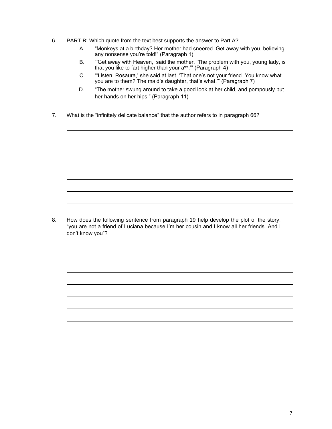- 6. PART B: Which quote from the text best supports the answer to Part A?
	- A. "Monkeys at a birthday? Her mother had sneered. Get away with you, believing any nonsense you're told!" (Paragraph 1)
	- B. "'Get away with Heaven,' said the mother. 'The problem with you, young lady, is that you like to fart higher than your a\*\*.'" (Paragraph 4)
	- C. "'Listen, Rosaura,' she said at last. 'That one's not your friend. You know what you are to them? The maid's daughter, that's what.'" (Paragraph 7)
	- D. "The mother swung around to take a good look at her child, and pompously put her hands on her hips." (Paragraph 11)
- 7. What is the "infinitely delicate balance" that the author refers to in paragraph 66?

8. How does the following sentence from paragraph 19 help develop the plot of the story: "you are not a friend of Luciana because I'm her cousin and I know all her friends. And I don't know you"?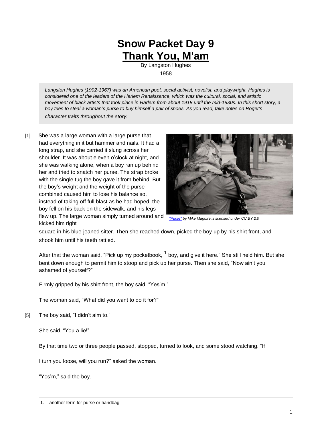# **Snow Packet Day 9 Thank You, M'am**

By Langston Hughes 1958

*Langston Hughes (1902-1967) was an American poet, social activist, novelist, and playwright. Hughes is considered one of the leaders of the Harlem Renaissance, which was the cultural, social, and artistic movement of black artists that took place in Harlem from about 1918 until the mid-1930s. In this short story, a boy tries to steal a woman's purse to buy himself a pair of shoes. As you read, take notes on Roger's character traits throughout the story.*

[1] She was a large woman with a large purse that had everything in it but hammer and nails. It had a long strap, and she carried it slung across her shoulder. It was about eleven o'clock at night, and she was walking alone, when a boy ran up behind her and tried to snatch her purse. The strap broke with the single tug the boy gave it from behind. But the boy's weight and the weight of the purse combined caused him to lose his balance so, instead of taking off full blast as he had hoped, the boy fell on his back on the sidewalk, and his legs flew up. The large woman simply turned around and kicked him right



*"Purse" by Mike Maguire is licensed under CC BY 2.0*

square in his blue-jeaned sitter. Then she reached down, picked the boy up by his shirt front, and shook him until his teeth rattled.

After that the woman said, "Pick up my pocketbook,  $^1$  boy, and give it here." She still held him. But she bent down enough to permit him to stoop and pick up her purse. Then she said, "Now ain't you ashamed of yourself?"

Firmly gripped by his shirt front, the boy said, "Yes'm."

The woman said, "What did you want to do it for?"

[5] The boy said, "I didn't aim to."

She said, "You a lie!"

By that time two or three people passed, stopped, turned to look, and some stood watching. "If

I turn you loose, will you run?" asked the woman.

"Yes'm," said the boy.

1. another term for purse or handbag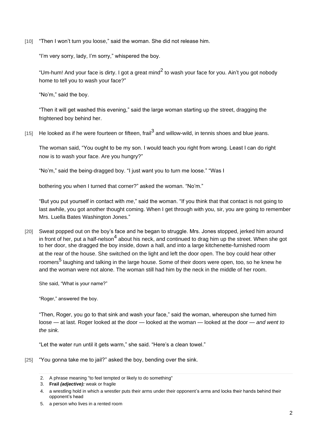[10] "Then I won't turn you loose," said the woman. She did not release him.

"I'm very sorry, lady, I'm sorry," whispered the boy.

"Um-hum! And your face is dirty. I got a great mind $^2$  to wash your face for you. Ain't you got nobody home to tell you to wash your face?"

"No'm," said the boy.

"Then it will get washed this evening," said the large woman starting up the street, dragging the frightened boy behind her.

[15] He looked as if he were fourteen or fifteen, frail<sup>3</sup> and willow-wild, in tennis shoes and blue jeans.

The woman said, "You ought to be my son. I would teach you right from wrong. Least I can do right now is to wash your face. Are you hungry?"

"No'm," said the being-dragged boy. "I just want you to turn me loose." "Was I

bothering you when I turned that corner?" asked the woman. "No'm."

"But you put yourself in contact with *me*," said the woman. "If you think that that contact is not going to last awhile, you got another thought coming. When I get through with you, sir, you are going to remember Mrs. Luella Bates Washington Jones."

[20] Sweat popped out on the boy's face and he began to struggle. Mrs. Jones stopped, jerked him around in front of her, put a half-nelson $^4$  about his neck, and continued to drag him up the street. When she got to her door, she dragged the boy inside, down a hall, and into a large kitchenette-furnished room at the rear of the house. She switched on the light and left the door open. The boy could hear other roomers<sup>5</sup> laughing and talking in the large house. Some of their doors were open, too, so he knew he and the woman were not alone. The woman still had him by the neck in the middle of her room.

She said, "What is your name?"

"Roger," answered the boy.

"Then, Roger, you go to that sink and wash your face," said the woman, whereupon she turned him loose — at last. Roger looked at the door — looked at the woman — looked at the door — *and went to the sink.*

"Let the water run until it gets warm," she said. "Here's a clean towel."

[25] "You gonna take me to jail?" asked the boy, bending over the sink.

5. a person who lives in a rented room

<sup>2.</sup> A phrase meaning "to feel tempted or likely to do something"

<sup>3.</sup> **Frail** *(adjective):* weak or fragile

<sup>4.</sup> a wrestling hold in which a wrestler puts their arms under their opponent's arms and locks their hands behind their opponent's head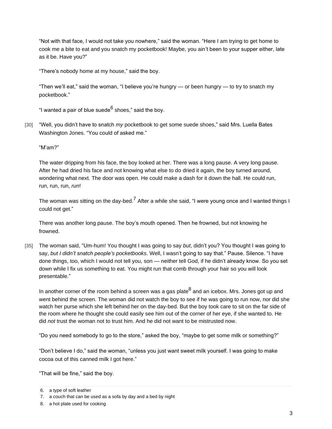"Not with that face, I would not take you nowhere," said the woman. "Here I am trying to get home to cook me a bite to eat and you snatch my pocketbook! Maybe, you ain't been to your supper either, late as it be. Have you?"

"There's nobody home at my house," said the boy.

"Then we'll eat," said the woman, "I believe you're hungry — or been hungry — to try to snatch my pocketbook."

"I wanted a pair of blue suede $^6$  shoes," said the boy.

[30] "Well, you didn't have to snatch *my* pocketbook to get some suede shoes," said Mrs. Luella Bates Washington Jones. "You could of asked me."

"M'am?"

The water dripping from his face, the boy looked at her. There was a long pause. A very long pause. After he had dried his face and not knowing what else to do dried it again, the boy turned around, wondering what next. The door was open. He could make a dash for it down the hall. He could run, run, run, run, *run*!

The woman was sitting on the day-bed.<sup>7</sup> After a while she said, "I were young once and I wanted things I could not get."

There was another long pause. The boy's mouth opened. Then he frowned, but not knowing he frowned.

[35] The woman said, "Um-hum! You thought I was going to say *but*, didn't you? You thought I was going to say, *but I didn't snatch people's pocketbooks*. Well, I wasn't going to say that." Pause. Silence. "I have done things, too, which I would not tell you, son — neither tell God, if he didn't already know. So you set down while I fix us something to eat. You might run that comb through your hair so you will look presentable."

In another corner of the room behind a screen was a gas plate $^8$  and an icebox. Mrs. Jones got up and went behind the screen. The woman did not watch the boy to see if he was going to run now, nor did she watch her purse which she left behind her on the day-bed. But the boy took care to sit on the far side of the room where he thought she could easily see him out of the corner of her eye, if she wanted to. He did *not* trust the woman not to trust him. And he did not want to be mistrusted now.

"Do you need somebody to go to the store," asked the boy, "maybe to get some milk or something?"

"Don't believe I do," said the woman, "unless you just want sweet milk yourself. I was going to make cocoa out of this canned milk I got here."

"That will be fine," said the boy.

<sup>6.</sup> a type of soft leather

<sup>7.</sup> a couch that can be used as a sofa by day and a bed by night

<sup>8.</sup> a hot plate used for cooking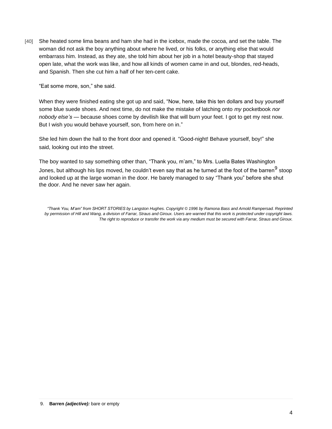[40] She heated some lima beans and ham she had in the icebox, made the cocoa, and set the table. The woman did not ask the boy anything about where he lived, or his folks, or anything else that would embarrass him. Instead, as they ate, she told him about her job in a hotel beauty-shop that stayed open late, what the work was like, and how all kinds of women came in and out, blondes, red-heads, and Spanish. Then she cut him a half of her ten-cent cake.

"Eat some more, son," she said.

When they were finished eating she got up and said, "Now, here, take this ten dollars and buy yourself some blue suede shoes. And next time, do not make the mistake of latching onto *my* pocketbook *nor nobody else's* — because shoes come by devilish like that will burn your feet. I got to get my rest now. But I wish you would behave yourself, son, from here on in."

She led him down the hall to the front door and opened it. "Good-night! Behave yourself, boy!" she said, looking out into the street.

The boy wanted to say something other than, "Thank you, m'am," to Mrs. Luella Bates Washington Jones, but although his lips moved, he couldn't even say that as he turned at the foot of the barren $^9$  stoop and looked up at the large woman in the door. He barely managed to say "Thank you" before she shut the door. And he never saw her again.

*"Thank You, M'am" from SHORT STORIES by Langston Hughes. Copyright © 1996 by Ramona Bass and Arnold Rampersad. Reprinted*  by permission of Hill and Wang, a division of Farrar, Straus and Giroux. Users are warned that this work is protected under copyright laws. *The right to reproduce or transfer the work via any medium must be secured with Farrar, Straus and Giroux.*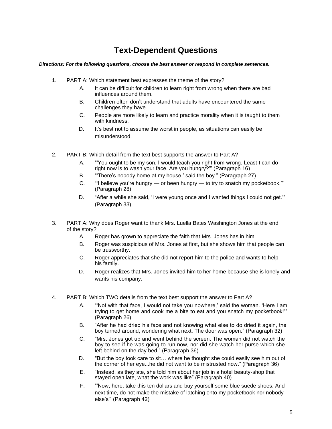#### *Directions: For the following questions, choose the best answer or respond in complete sentences.*

- 1. PART A: Which statement best expresses the theme of the story?
	- A. It can be difficult for children to learn right from wrong when there are bad influences around them.
	- B. Children often don't understand that adults have encountered the same challenges they have.
	- C. People are more likely to learn and practice morality when it is taught to them with kindness.
	- D. It's best not to assume the worst in people, as situations can easily be misunderstood.
- 2. PART B: Which detail from the text best supports the answer to Part A?
	- A. "'You ought to be my son. I would teach you right from wrong. Least I can do right now is to wash your face. Are you hungry?'" (Paragraph 16)
	- B. "'There's nobody home at my house,' said the boy." (Paragraph 27)
	- C. "'I believe you're hungry or been hungry to try to snatch my pocketbook.'" (Paragraph 28)
	- D. "After a while she said, 'I were young once and I wanted things I could not get.'" (Paragraph 33)
- 3. PART A: Why does Roger want to thank Mrs. Luella Bates Washington Jones at the end of the story?
	- A. Roger has grown to appreciate the faith that Mrs. Jones has in him.
	- B. Roger was suspicious of Mrs. Jones at first, but she shows him that people can be trustworthy.
	- C. Roger appreciates that she did not report him to the police and wants to help his family.
	- D. Roger realizes that Mrs. Jones invited him to her home because she is lonely and wants his company.
- 4. PART B: Which TWO details from the text best support the answer to Part A?
	- A. "'Not with that face, I would not take you nowhere,' said the woman. 'Here I am trying to get home and cook me a bite to eat and you snatch my pocketbook!'" (Paragraph 26)
	- B. "After he had dried his face and not knowing what else to do dried it again, the boy turned around, wondering what next. The door was open." (Paragraph 32)
	- C. "Mrs. Jones got up and went behind the screen. The woman did not watch the boy to see if he was going to run now, nor did she watch her purse which she left behind on the day bed." (Paragraph 36)
	- D. "But the boy took care to sit… where he thought she could easily see him out of the corner of her eye...he did not want to be mistrusted now." (Paragraph 36)
	- E. "Instead, as they ate, she told him about her job in a hotel beauty-shop that stayed open late, what the work was like" (Paragraph 40)
	- F. "'Now, here, take this ten dollars and buy yourself some blue suede shoes. And next time, do not make the mistake of latching onto my pocketbook nor nobody else's'" (Paragraph 42)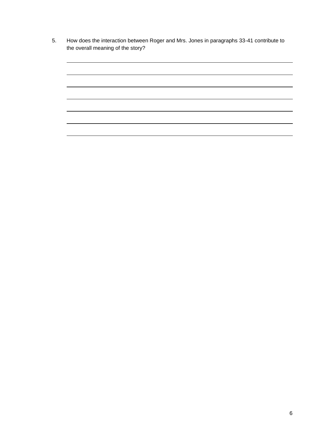5. How does the interaction between Roger and Mrs. Jones in paragraphs 33-41 contribute to the overall meaning of the story?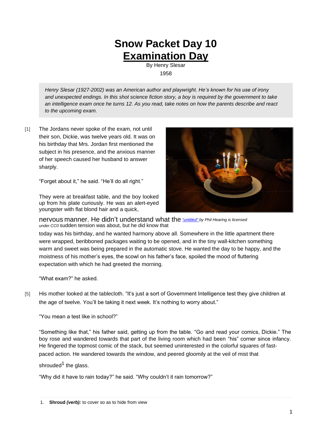## **Snow Packet Day 10 Examination Day**

By Henry Slesar 1958

*Henry Slesar (1927-2002) was an American author and playwright. He's known for his use of irony and unexpected endings. In this shot science fiction story, a boy is required by the government to take an intelligence exam once he turns 12. As you read, take notes on how the parents describe and react to the upcoming exam.*

[1] The Jordans never spoke of the exam, not until their son, Dickie, was twelve years old. It was on his birthday that Mrs. Jordan first mentioned the subject in his presence, and the anxious manner of her speech caused her husband to answer sharply.

"Forget about it," he said. "He'll do all right."

They were at breakfast table, and the boy looked up from his plate curiously. He was an alert-eyed youngster with flat blond hair and a quick,



nervous manner. He didn't understand what the *"untitled" by Phil Hearing is licensed under CC0* sudden tension was about, but he did know that

today was his birthday, and he wanted harmony above all. Somewhere in the little apartment there were wrapped, beribboned packages waiting to be opened, and in the tiny wall-kitchen something warm and sweet was being prepared in the automatic stove. He wanted the day to be happy, and the moistness of his mother's eyes, the scowl on his father's face, spoiled the mood of fluttering expectation with which he had greeted the morning.

"What exam?" he asked.

[5] His mother looked at the tablecloth. "It's just a sort of Government Intelligence test they give children at the age of twelve. You'll be taking it next week. It's nothing to worry about."

"You mean a test like in school?"

"Something like that," his father said, getting up from the table. "Go and read your comics, Dickie." The boy rose and wandered towards that part of the living room which had been "his" corner since infancy. He fingered the topmost comic of the stack, but seemed uninterested in the colorful squares of fastpaced action. He wandered towards the window, and peered gloomily at the veil of mist that

shrouded<sup>1</sup> the glass.

"Why did it have to rain today?" he said. "Why couldn't it rain tomorrow?"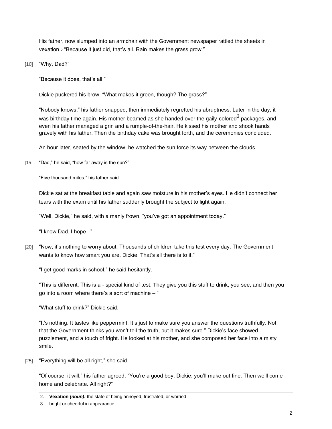His father, now slumped into an armchair with the Government newspaper rattled the sheets in vexation.<sup>2</sup> "Because it just did, that's all. Rain makes the grass grow."

[10] "Why, Dad?"

"Because it does, that's all."

Dickie puckered his brow. "What makes it green, though? The grass?"

"Nobody knows," his father snapped, then immediately regretted his abruptness. Later in the day, it was birthday time again. His mother beamed as she handed over the gaily-colored $^3$  packages, and even his father managed a grin and a rumple-of-the-hair. He kissed his mother and shook hands gravely with his father. Then the birthday cake was brought forth, and the ceremonies concluded.

An hour later, seated by the window, he watched the sun force its way between the clouds.

[15] "Dad," he said, "how far away is the sun?"

"Five thousand miles," his father said.

Dickie sat at the breakfast table and again saw moisture in his mother's eyes. He didn't connect her tears with the exam until his father suddenly brought the subject to light again.

"Well, Dickie," he said, with a manly frown, "you've got an appointment today."

"I know Dad. I hope –"

[20] "Now, it's nothing to worry about. Thousands of children take this test every day. The Government wants to know how smart you are, Dickie. That's all there is to it."

"I get good marks in school," he said hesitantly.

"This is different. This is a - special kind of test. They give you this stuff to drink, you see, and then you go into a room where there's a sort of machine – "

"What stuff to drink?" Dickie said.

"It's nothing. It tastes like peppermint. It's just to make sure you answer the questions truthfully. Not that the Government thinks you won't tell the truth, but it makes sure." Dickie's face showed puzzlement, and a touch of fright. He looked at his mother, and she composed her face into a misty smile.

[25] "Everything will be all right," she said.

"Of course, it will," his father agreed. "You're a good boy, Dickie; you'll make out fine. Then we'll come home and celebrate. All right?"

<sup>2.</sup> **Vexation** *(noun):* the state of being annoyed, frustrated, or worried

<sup>3.</sup> bright or cheerful in appearance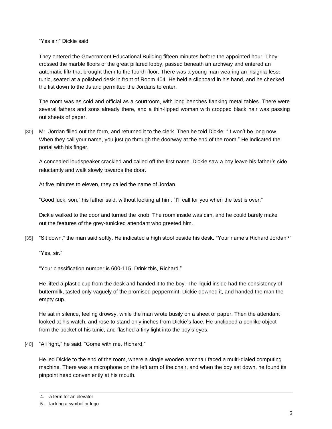#### "Yes sir," Dickie said

They entered the Government Educational Building fifteen minutes before the appointed hour. They crossed the marble floors of the great pillared lobby, passed beneath an archway and entered an automatic lift<sub>4</sub> that brought them to the fourth floor. There was a young man wearing an insignia-lesss tunic, seated at a polished desk in front of Room 404. He held a clipboard in his hand, and he checked the list down to the Js and permitted the Jordans to enter.

The room was as cold and official as a courtroom, with long benches flanking metal tables. There were several fathers and sons already there, and a thin-lipped woman with cropped black hair was passing out sheets of paper.

[30] Mr. Jordan filled out the form, and returned it to the clerk. Then he told Dickie: "It won't be long now. When they call your name, you just go through the doorway at the end of the room." He indicated the portal with his finger.

A concealed loudspeaker crackled and called off the first name. Dickie saw a boy leave his father's side reluctantly and walk slowly towards the door.

At five minutes to eleven, they called the name of Jordan.

"Good luck, son," his father said, without looking at him. "I'll call for you when the test is over."

Dickie walked to the door and turned the knob. The room inside was dim, and he could barely make out the features of the grey-tunicked attendant who greeted him.

[35] "Sit down," the man said softly. He indicated a high stool beside his desk. "Your name's Richard Jordan?"

"Yes, sir."

"Your classification number is 600-115. Drink this, Richard."

He lifted a plastic cup from the desk and handed it to the boy. The liquid inside had the consistency of buttermilk, tasted only vaguely of the promised peppermint. Dickie downed it, and handed the man the empty cup.

He sat in silence, feeling drowsy, while the man wrote busily on a sheet of paper. Then the attendant looked at his watch, and rose to stand only inches from Dickie's face. He unclipped a penlike object from the pocket of his tunic, and flashed a tiny light into the boy's eyes.

[40] "All right," he said. "Come with me, Richard."

He led Dickie to the end of the room, where a single wooden armchair faced a multi-dialed computing machine. There was a microphone on the left arm of the chair, and when the boy sat down, he found its pinpoint head conveniently at his mouth.

<sup>4.</sup> a term for an elevator

<sup>5.</sup> lacking a symbol or logo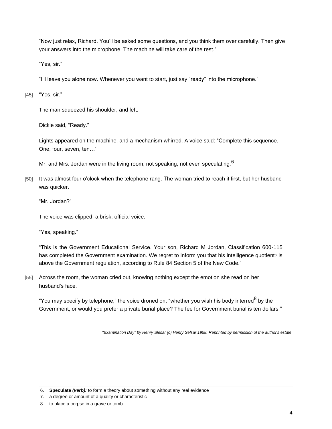"Now just relax, Richard. You'll be asked some questions, and you think them over carefully. Then give your answers into the microphone. The machine will take care of the rest."

"Yes, sir."

"I'll leave you alone now. Whenever you want to start, just say "ready" into the microphone."

[45] "Yes, sir."

The man squeezed his shoulder, and left.

Dickie said, "Ready."

Lights appeared on the machine, and a mechanism whirred. A voice said: "Complete this sequence. One, four, seven, ten…'

Mr. and Mrs. Jordan were in the living room, not speaking, not even speculating.<sup>6</sup>

[50] It was almost four o'clock when the telephone rang. The woman tried to reach it first, but her husband was quicker.

"Mr. Jordan?"

The voice was clipped: a brisk, official voice.

"Yes, speaking."

"This is the Government Educational Service. Your son, Richard M Jordan, Classification 600-115 has completed the Government examination. We regret to inform you that his intelligence quotient7 is above the Government regulation, according to Rule 84 Section 5 of the New Code."

[55] Across the room, the woman cried out, knowing nothing except the emotion she read on her husband's face.

"You may specify by telephone," the voice droned on, "whether you wish his body interred $^8$  by the Government, or would you prefer a private burial place? The fee for Government burial is ten dollars."

*"Examination Day" by Henry Slesar (c) Henry Selsar 1958. Reprinted by permission of the author's estate.*

6. **Speculate** *(verb):* to form a theory about something without any real evidence

8. to place a corpse in a grave or tomb

<sup>7.</sup> a degree or amount of a quality or characteristic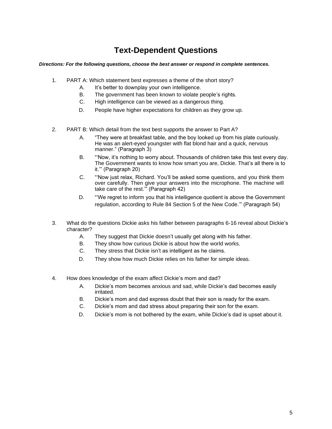#### *Directions: For the following questions, choose the best answer or respond in complete sentences.*

- 1. PART A: Which statement best expresses a theme of the short story?
	- A. It's better to downplay your own intelligence.
	- B. The government has been known to violate people's rights.
	- C. High intelligence can be viewed as a dangerous thing.
	- D. People have higher expectations for children as they grow up.
- 2. PART B: Which detail from the text best supports the answer to Part A?
	- A. "They were at breakfast table, and the boy looked up from his plate curiously. He was an alert-eyed youngster with flat blond hair and a quick, nervous manner." (Paragraph 3)
	- B. "'Now, it's nothing to worry about. Thousands of children take this test every day. The Government wants to know how smart you are, Dickie. That's all there is to it.'" (Paragraph 20)
	- C. "'Now just relax, Richard. You'll be asked some questions, and you think them over carefully. Then give your answers into the microphone. The machine will take care of the rest.'" (Paragraph 42)
	- D. "'We regret to inform you that his intelligence quotient is above the Government regulation, according to Rule 84 Section 5 of the New Code.'" (Paragraph 54)
- 3. What do the questions Dickie asks his father between paragraphs 6-16 reveal about Dickie's character?
	- A. They suggest that Dickie doesn't usually get along with his father.
	- B. They show how curious Dickie is about how the world works.
	- C. They stress that Dickie isn't as intelligent as he claims.
	- D. They show how much Dickie relies on his father for simple ideas.
- 4. How does knowledge of the exam affect Dickie's mom and dad?
	- A. Dickie's mom becomes anxious and sad, while Dickie's dad becomes easily irritated.
	- B. Dickie's mom and dad express doubt that their son is ready for the exam.
	- C. Dickie's mom and dad stress about preparing their son for the exam.
	- D. Dickie's mom is not bothered by the exam, while Dickie's dad is upset about it.